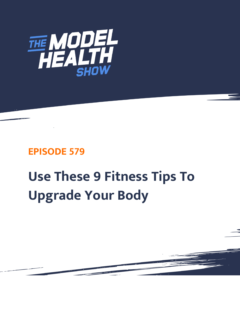

## **EPISODE 579**

# **Use These 9 Fitness Tips To Upgrade Your Body**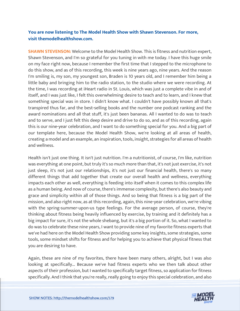### **You are now listening to The Model Health Show with Shawn Stevenson. For more, visit themodelhealthshow.com.**

**SHAWN STEVENSON:** Welcome to the Model Health Show. This is fitness and nutrition expert, Shawn Stevenson, and I'm so grateful for you tuning in with me today. I have this huge smile on my face right now, because I remember the first time that I stepped to the microphone to do this show, and as of this recording, this week is nine years ago, nine years. And the reason I'm smiling is, my son, my youngest son, Braden is 10 years old, and I remember him being a little baby and bringing him to the radio station, to the studio where we were recording. At the time, I was recording at iHeart radio in St. Louis, which was just a complete vibe in and of itself, and I was just like, I felt this overwhelming desire to teach and to learn, and I knew that something special was in store. I didn't know what. I couldn't have possibly known all that's transpired thus far, and the best-selling books and the number one podcast ranking and the award nominations and all that stuff, it's just been bananas. All I wanted to do was to teach and to serve, and I just felt this deep desire and drive to do so, and as of this recording, again this is our nine-year celebration, and I want to do something special for you. And a big part of our template here, because the Model Health Show, we're looking at all areas of health, creating a model and an example, an inspiration, tools, insight, strategies for all areas of health and wellness.

Health isn't just one thing. It isn't just nutrition. I'm a nutritionist, of course, I'm like, nutrition was everything at one point, but truly it's so much more than that, it's not just exercise, it's not just sleep, it's not just our relationships, it's not just our financial health, there's so many different things that add together that create our overall health and wellness, everything impacts each other as well, everything is feeding into itself when it comes to this complex life as a human being. And now of course, there's immense complexity, but there's also beauty and grace and simplicity within all of those things. And so being that fitness is a big part of the mission, and also right now, as at this recording, again, this nine-year celebration, we're vibing with the spring-summer-upon-us type feelings. For the average person, of course, they're thinking about fitness being heavily influenced by exercise, by training and it definitely has a big impact for sure, it's not the whole shebang, but it's a big portion of it. So, what I wanted to do was to celebrate these nine years, I want to provide nine of my favorite fitness experts that we've had here on the Model Health Show providing some key insights, some strategies, some tools, some mindset shifts for fitness and for helping you to achieve that physical fitness that you are desiring to have.

Again, these are nine of my favorites, there have been many others, alright, but I was also looking at specifically... Because we've had fitness experts who we then talk about other aspects of their profession, but I wanted to specifically target fitness, so application for fitness [specifically. And I think that you](https://themodelhealthshow.com/upgrade-your-body/)'[re really, really going to enjoy this special celebration, and also](https://themodelhealthshow.com/upgrade-your-body/) 

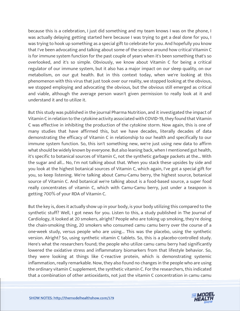because this is a celebration, I just did something and my team knows I was on the phone, I was actually delaying getting started here because I was trying to get a deal done for you, I was trying to hook up something as a special gift to celebrate for you. And hopefully you know that I've been advocating and talking about some of the science around how critical Vitamin C is for immune system function for the past couple of years when it's been something that's so overlooked, and it's so simple. Obviously, we know about Vitamin C for being a critical regulator of our immune system, but it also has a major impact on our sleep quality, on our metabolism, on our gut health. But in this context today, when we're looking at this phenomenon with this virus that just took over our reality, we stopped looking at the obvious, we stopped employing and advocating the obvious, but the obvious still emerged as critical and viable, although the average person wasn't given permission to really look at it and understand it and to utilize it.

But this study was published in the journal Pharma Nutrition, and it investigated the impact of Vitamin C in relation to the cytokine activity associated with COVID-19, they found that Vitamin C was effective in inhibiting the production of the cytokine storm. Now again, this is one of many studies that have affirmed this, but we have decades, literally decades of data demonstrating the efficacy of Vitamin C in relationship to our health and specifically to our immune system function. So, this isn't something new, we're just using new data to affirm what should be widely known by everyone. But also leaning back, when I mentioned gut health, it's specific to botanical sources of Vitamin C, not the synthetic garbage packets at the... With the sugar and all... No, I'm not talking about that. When you stack these upsides by side and you look at the highest botanical sources of Vitamin C, which again, I've got a special gift for you, so keep listening. We're talking about Camu-Camu berry, the highest source, botanical source of Vitamin C. And botanical we're talking about is a food-based source, a super food really concentrates of vitamin C, which with Camu-Camu berry, just under a teaspoon is getting 700% of your RDA of Vitamin C.

But the key is, does it actually show up in your body, is your body utilizing this compared to the synthetic stuff? Well, I got news for you. Listen to this, a study published in The Journal of Cardiology, it looked at 20 smokers, alright? People who are toking up smoking, they're doing the chain-smoking thing, 20 smokers who consumed camu camu berry over the course of a one-week study, versus people who are using... This was the placebo, using the synthetic version. Alright? So, using synthetic vitamin C tablets. So, this is a placebo-controlled study. Here's what the researchers found; the people who utilize camu camu berry had significantly lowered the oxidative stress and inflammatory biomarkers from that lifestyle behavior. So, they were looking at things like C-reactive protein, which is demonstrating systemic inflammation, really remarkable. Now, they also found no changes in the people who are using the ordinary vitamin C supplement, the synthetic vitamin C. For the researchers, this indicated that a combination of other antioxidants, not just the vitamin C concentration in camu camu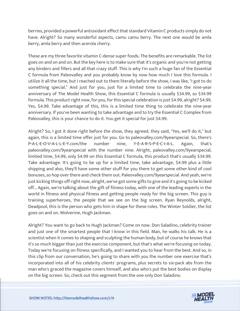berries, provided a powerful antioxidant effect that standard Vitamin C products simply do not have. Alright? So many wonderful aspects, camu camu berry. The next one would be amla berry, amla berry and then acerola cherry.

These are my three favorite vitamin C-dense super foods. The benefits are remarkable. The list goes on and on and on. But the key here is to make sure that it's organic and you're not getting any binders and fillers and all that crazy stuff. This is why I'm such a huge fan of the Essential C formula from Paleovalley and you probably know by now how much I love this formula. I utilize it all the time, but I reached out to them literally before the show, I was like, "I got to do something special." And just for you, just for a limited time to celebrate the nine-year anniversary of The Model Health Show, this Essential C formula is usually \$34.99, so \$34.99 formula. This product right now, for you, for this special celebration is just \$4.99, alright? \$4.99. Yes, \$4.99. Take advantage of this, this is a limited time thing to celebrate the nine-year anniversary. If you've been wanting to take advantage and to try the Essential C Complex from Paleovalley, this is your chance to do it. You get it special for just \$4.99.

Alright? So, I got it done right before the show, they agreed, they said, "Yes, we'll do it," but again, this is a limited time offer just for you. Go to paleovalley.com/9yearspecial. So, there's P-A-L-E-O-V-A-L-L-E-Y.com/the number nine, Y-E-A-R-S-P-E-C-I-A-L. Again, that's paleovalley.com/9yearspecial with the number nine. Alright, paleovalley.com/9yearspecial, limited time, \$4.99, only \$4.99 on this Essential C formula, this product that's usually \$34.99. Take advantage. It's going to be up for a limited time, take advantage, \$4.99 plus a little shipping and also, they'll have some other stuff for you there to get some other kind of cool bonuses, so hop over there and check them out. Paleovalley.com/9yearspecial. And yeah, we're just kicking things off right now, alright, we've got some gifts to give and it's going to be kicked off... Again, we're talking about the gift of fitness today, with one of the leading experts in the world in fitness and physical fitness and getting people ready for the big screen. This guy is training superheroes, the people that we see on the big screen. Ryan Reynolds, alright, Deadpool, this is the person who gets him in shape for these roles. The Winter Soldier, the list goes on and on. Wolverine, Hugh Jackman.

Alright? You want to go back to Hugh Jackman? Come on now. Don Saladino, celebrity trainer and just one of the smartest people that I know in this field. Man, he walks his talk. He is a scientist when it comes to shaping and sculpting the human body, but of course he knows that it's so much bigger than just the exercise component, but that's what we're focusing on today. Today we're focusing on fitness specifically, and I wanted you to hear from the best. And so, in this clip from our conversation, he's going to share with you the number one exercise that's incorporated into all of his celebrity clients' programs, plus secrets to six-pack abs from the man who's graced the magazine covers himself, and also who's put the best bodies on display on the big screen. So, check out this segment from the one only Don Saladino.

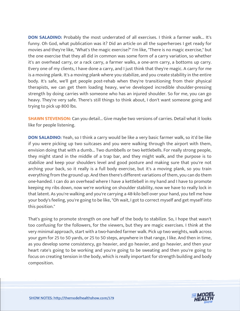**DON SALADINO:** Probably the most underrated of all exercises. I think a farmer walk... It's funny. Oh God, what publication was it? Did an article on all the superheroes I get ready for movies and they're like, "What's the magic exercise?" I'm like, "There is no magic exercise," but the one exercise that they all did in common was some form of a carry variation, so whether it's an overhead carry, or a rack carry, a farmer walks, a one-arm carry, a bottoms up carry. Every one of my clients, I have done a carry, and I just think that they're magic. A carry for me is a moving plank. It's a moving plank where you stabilize, and you create stability in the entire body. It's safe, we'll get people post-rehab when they're transitioning from their physical therapists, we can get them loading heavy, we've developed incredible shoulder-pressing strength by doing carries with someone who has an injured shoulder. So for me, you can go heavy. They're very safe. There's still things to think about, I don't want someone going and trying to pick up 800 lbs.

**SHAWN STEVENSON:** Can you detail... Give maybe two versions of carries. Detail what it looks like for people listening.

**DON SALADINO:** Yeah, so I think a carry would be like a very basic farmer walk, so it'd be like if you were picking up two suitcases and you were walking through the airport with them, envision doing that with a dumb... Two dumbbells or two kettlebells. For really strong people, they might stand in the middle of a trap bar, and they might walk, and the purpose is to stabilize and keep your shoulders level and good posture and making sure that you're not arching your back, so it really is a full body exercise, but it's a moving plank, so you train everything from the ground up. And then there's different variations of them, you can do them one-handed. I can do an overhead where I have a kettlebell in my hand and I have to promote keeping my ribs down, now we're working on shoulder stability, now we have to really lock in that latent. As you're walking and you're carrying a 48-kilo bell over your hand, you tell me how your body's feeling, you're going to be like, "Oh wait, I got to correct myself and get myself into this position."

That's going to promote strength on one half of the body to stabilize. So, I hope that wasn't too confusing for the followers, for the viewers, but they are magic exercises. I think at the very minimal approach, start with a two-handed farmer walk. Pick up two weights, walk across your gym for 25 to 50 yards, or 25 to 50 steps, anywhere in that range, I like. And then in time, as you develop some consistency, go heavier, and go heavier, and go heavier, and then your heart rate's going to be working and you're going to be sweating and then you're going to focus on creating tension in the body, which is really important for strength building and body composition.

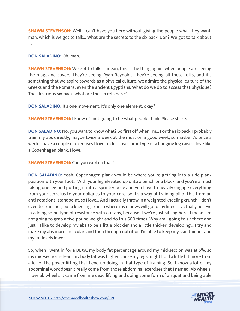**SHAWN STEVENSON:** Well, I can't have you here without giving the people what they want, man, which is we got to talk... What are the secrets to the six pack, Don? We got to talk about it.

**DON SALADINO:** Oh, man.

**SHAWN STEVENSON:** We got to talk... I mean, this is the thing again, when people are seeing the magazine covers, they're seeing Ryan Reynolds, they're seeing all these folks, and it's something that we aspire towards as a physical culture, we admire the physical culture of the Greeks and the Romans, even the ancient Egyptians. What do we do to access that physique? The illustrious six-pack, what are the secrets here?

**DON SALADINO:** It's one movement. It's only one element, okay?

**SHAWN STEVENSON: I know it's not going to be what people think. Please share.** 

**DON SALADINO:** No, you want to know what? So first off when I'm... For the six-pack, I probably train my abs directly, maybe twice a week at the most on a good week, so maybe it's once a week, I have a couple of exercises I love to do. I love some type of a hanging leg raise; I love like a Copenhagen plank. I love...

**SHAWN STEVENSON:** Can you explain that?

**DON SALADINO:** Yeah, Copenhagen plank would be where you're getting into a side plank position with your foot... With your leg elevated up onto a bench or a block, and you're almost taking one leg and putting it into a sprinter pose and you have to heavily engage everything from your serratus to your obliques to your core, so it's a way of training all of this from an anti-rotational standpoint, so I love... And I actually throw in a weighted kneeling crunch. I don't ever do crunches, but a kneeling crunch where my elbows will go to my knees, I actually believe in adding some type of resistance with our abs, because if we're just sitting here, I mean, I'm not going to grab a five-pound weight and do this 500 times. Why am I going to sit there and just... I like to develop my abs to be a little blockier and a little thicker, developing... I try and make my abs more muscular, and then through nutrition I'm able to keep my skin thinner and my fat levels lower.

So, when I went in for a DEXA, my body fat percentage around my mid-section was at 5%, so my mid-section is lean, my body fat was higher 'cause my legs might hold a little bit more from a lot of the power lifting that I end up doing in that type of training. So, I know a lot of my abdominal work doesn't really come from those abdominal exercises that I named. Ab wheels, I love ab wheels. It came from me dead lifting and doing some form of a squat and being able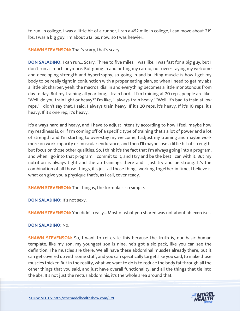to run. In college, I was a little bit of a runner, I ran a 452 mile in college, I can move about 219 lbs. I was a big guy. I'm about 212 lbs. now, so I was heavier...

**SHAWN STEVENSON: That's scary, that's scary.** 

**DON SALADINO:** I can run... Scary. Three to five miles, I was like, I was fast for a big guy, but I don't run as much anymore. But going in and hitting my cardio, not over-staying my welcome and developing strength and hypertrophy, so going in and building muscle is how I get my body to be really tight in conjunction with a proper eating plan, so when I need to get my abs a little bit sharper, yeah, the macros, dial in and everything becomes a little monotonous from day to day. But my training all year long, I train hard. If I'm training at 20 reps, people are like, "Well, do you train light or heavy?" I'm like, "I always train heavy." "Well, it's bad to train at low reps," I didn't say that. I said, I always train heavy. If it's 20 reps, it's heavy. If it's 10 reps, it's heavy. If it's one rep, it's heavy.

It's always hard and heavy, and I have to adjust intensity according to how I feel, maybe how my readiness is, or if I'm coming off of a specific type of training that's a lot of power and a lot of strength and I'm starting to over-stay my welcome, I adjust my training and maybe work more on work capacity or muscular endurance, and then I'll maybe lose a little bit of strength, but focus on those other qualities. So, I think it's the fact that I'm always going into a program, and when I go into that program, I commit to it, and I try and be the best I can with it. But my nutrition is always tight and the ab trainings there and I just try and be strong. It's the combination of all those things, it's just all those things working together in time, I believe is what can give you a physique that's, as I call, cover ready.

**SHAWN STEVENSON:** The thing is, the formula is so simple.

**DON SALADINO:** It's not sexy.

**SHAWN STEVENSON:** You didn't really... Most of what you shared was not about ab exercises.

#### **DON SALADINO:** No.

**SHAWN STEVENSON:** So, I want to reiterate this because the truth is, our basic human template, like my son, my youngest son is nine, he's got a six pack, like you can see the definition. The muscles are there. We all have these abdominal muscles already there, but it can get covered up with some stuff, and you can specifically target, like you said, to make those muscles thicker. But in the reality, what we want to do is to reduce the body fat through all the other things that you said, and just have overall functionality, and all the things that tie into the abs. It's not just the rectus abdominis, it's the whole area around that.

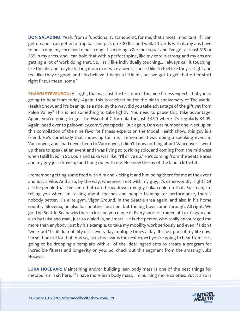**DON SALADINO:** Yeah, from a functionality standpoint, for me, that's most important. If I can get up and I can get on a trap bar and pick up 700 lbs. and walk 20 yards with it, my abs have to be strong, my core has to be strong. If I'm doing a Zercher squat and I've got at least 315 or 365 in my arms, and I can hold that with a perfect spine, like my core is strong and my abs are getting a lot of work doing that. So, I still like individually touching... I always call it touching, like the abs and maybe hitting it once or twice a week, 'cause I like to feel like they're tight and feel like they're good, and I do believe it helps a little bit, but we got to get that other stuff right first. I mean, some '

**SHAWN STEVENSON:** All right, that was just the first one of the nine fitness experts that you're going to hear from today. Again, this is celebration for the ninth anniversary of The Model Health Show, and it's been quite a ride. By the way, did you take advantage of the gift yet from Paleo Valley? This is not something to take lightly. You need to pause this, take advantage. Again, you're going to get the Essential C formula for just \$4.99 where it's regularly 34.99. Again, head over to paleovalley.com/9yearspecial. But again, Don was number one. Next up on this compilation of the nine favorite fitness experts on the Model Health show, this guy is a friend. He's somebody that shows up for me. I remember I was doing a speaking event in Vancouver, and I had never been to Vancouver, I didn't know nothing about Vancouver. I went up there to speak at an event and I was flying solo, riding solo, and coming from the mid-west when I still lived in St. Louis and Luka was like, "I'll drive up." He's coming from the Seattle area and my guy just drove up and hung out with me. He knew the lay of the land a little bit.

I remember getting some food with him and kicking it and him being there for me at the event and just a vibe. And also, by the way, whenever I eat with my guy, it's otherworldly, right? Of all the people that I've seen that can throw down, my guy Luka could do that. But man, I'm telling you when I'm talking about coaches and people training for performance, there's nobody better. His elite gym, Vigor Ground, in the Seattle area again, and also in his home country, Slovenia, he also has another location, but the big boys come through. All right. We got the Seattle Seahawks there a lot and you name it. Every sport is trained at Luka's gym and also by Luka and man, just so dialed in, so smart. He is the person who really encouraged me more than anybody, just by his example, to take my mobility work seriously and even if I don't "work out" I still do mobility drills every day, multiple times a day. It's just part of my life now. I'm so thankful for that. And so, Luka Hocevar is the next expert you're going to hear from. He's going to be dropping a template with all of the ideal ingredients to create a program for incredible fitness and longevity on you. So, check out this segment from the amazing Luka Hocevar.

**LUKA HOCEVAR:** Maintaining and/or building lean body mass is one of the best things for metabolism. I sit here, if I have more lean body mass, I'm burning more calories. But it also is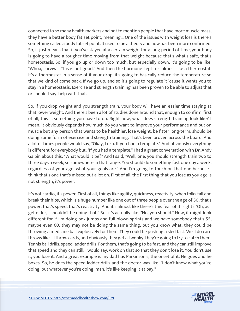connected to so many health markers and not to mention people that have more muscle mass, they have a better body fat set point, meaning... One of the issues with weight loss is there's something called a body fat set point. It used to be a theory and now has been more confirmed. So, it just means that if you've stayed at a certain weight for a long period of time, your body is going to have a tougher time moving from that weight because that's what's safe, that's homeostasis. So, if you go up or down too much, but especially down, it's going to be like, "Whoa, survival. This is not good." And then the hormone Leptin is almost like a thermostat. It's a thermostat in a sense of if your drop, it's going to basically reduce the temperature so that we kind of come back. If we go up, and so it's going to regulate it 'cause it wants you to stay in a homeostasis. Exercise and strength training has been proven to be able to adjust that or should I say, help with that.

So, if you drop weight and you strength train, your body will have an easier time staying at that lower weight. And there's been a lot of studies done around that, enough to confirm, first of all, this is something you have to do. Right now, what does strength training look like? I mean, it obviously depends how much do you want to improve your performance and put on muscle but any person that wants to be healthier, lose weight, be fitter long-term, should be doing some form of exercise and strength training. That's been proven across the board. And a lot of times people would say, "Okay, Luka. If you had a template." And obviously everything is different for everybody but, "If you had a template," I had a great conversation with Dr. Andy Galpin about this, "What would it be?" And I said, "Well, one, you should strength train two to three days a week, so somewhere in that range. You should do something fast one day a week, regardless of your age, what your goals are." And I'm going to touch on that one because I think that's one that's missed out a lot on. First of all, the first thing that you lose as you age is not strength, it's power.

It's not cardio, it's power. First of all, things like agility, quickness, reactivity, when folks fall and break their hips, which is a huge number like one out of three people over the age of 50, that's power, that's speed, that's reactivity. And it's almost like there's this fear of it, right? "Oh, as I get older, I shouldn't be doing that." But it's actually like, "No, you should." Now, it might look different for if I'm doing box jumps and full-blown sprints and we have somebody that's 55, maybe even 60, they may not be doing the same thing, but you know what, they could be throwing a medicine ball explosively for them. They could be pushing a sled fast. We'll do card throws like I'll throw cards, and obviously they get all wonky, they're going to try to catch them. Tennis ball drills, speed ladder drills. For them, that's going to be fast, and they can still improve that speed and they can still, I would say, work on that so that they don't lose it. You don't use it, you lose it. And a great example is my dad has Parkinson's, the onset of it. He goes and he boxes. So, he does the speed ladder drills and the doctor was like, "I don't know what you're doing, but whatever you're doing, man, it's like keeping it at bay."

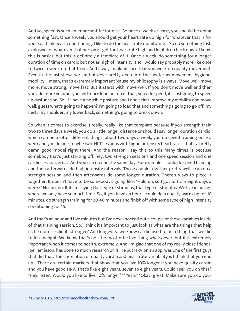And so, speed is such an important factor of it. So once a week at least, you should be doing something fast. Once a week, you should get your heart rate up high for whatever that is for you. So, think heart conditioning. I like to do the heart rate monitoring... So do something fast, explosive for whatever that person is, get the heart rate high and let it drop back down. I know this is basics, but this is definitely a template of it. Once a week, do something for a longer duration of time on cardio but not as high of intensity, and I would say probably more like once to twice a week on that front. And always making sure that you work on quality movement. Even in the last show, we kind of dove pretty deep into that as far as movement hygiene, mobility. I mean, that's extremely important 'cause my philosophy is always: Move well, move more, move strong, move fast. But it starts with move well. If you don't move well and then you add more volume, you add more load on top of that, you add speed, it's just going to speed up dysfunction. So, if I have a horrible posture and I don't first improve my mobility and move well, guess what's going to happen? I'm going to load that and something's going to go off, my neck, my shoulder, my lower back, something's going to break down.

So when it comes to exercise, I really, really like that template because if you strength train two to three days a week, you do a little longer distance or should I say longer duration cardio, which can be a lot of different things, about two days a week, you do speed training once a week and you do one, maybe two, HIIT sessions with higher intensity heart rates, that's a pretty damn good model right there. And the reason I say this to this many times is because somebody that's just starting off, hey, two strength sessions and one speed session and one cardio session, great. And you can do it in the same day. For example, I could do speed training and then afterwards do high intensity intervals. Those couple together pretty well. I can do a strength session and then afterwards do some longer duration. There's ways to piece it together. It doesn't have to be somebody's going like, "Hold on, so I got to train eight days a week?" No, no, no. But I'm saying that type of stimulus, that type of stimulus. We live in an age where we only have so much time. So, if you have an hour, I could do a quality warm-up for 10 minutes, do strength training for 30-40 minutes and finish off with some type of high-intensity conditioning for 15.

And that's an hour and five minutes but I've now knocked out a couple of those variables inside of that training session. So, I think it's important to just look at what are the things that help us be more resilient, stronger? And longevity, we know cardio used to be a thing that we did to lose weight. We know that's not the most effective thing whatsoever, but it is extremely important when it comes to health, extremely. And I'm glad that one of my really close friends, Joel Jamieson, has done so much research on it. He put HRV on an app, was one of the first guys that did that. The co-relation of quality cardio and heart rate variability is I think that you end up... There are certain markers that show that you live 10% longer if you have quality cardio and you have good HRV. That's like eight years, seven to eight years. Could I sell you on that? "Hey, listen. Would you like to live 10% longer?" "Yeah." "Okay, great. Make sure you do your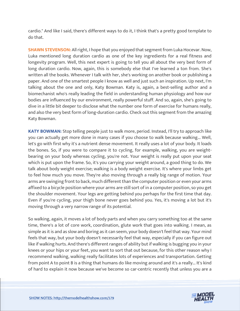cardio." And like I said, there's different ways to do it, I think that's a pretty good template to do that.

**SHAWN STEVENSON:** All right, I hope that you enjoyed that segment from Luka Hocevar. Now, Luka mentioned long duration cardio as one of the key ingredients for a real fitness and longevity program. Well, this next expert is going to tell you all about the very best form of long duration cardio. Now, again, this is somebody else that I've learned a ton from. She's written all the books. Whenever I talk with her, she's working on another book or publishing a paper. And one of the smartest people I know as well and just such an inspiration. Up next, I'm talking about the one and only, Katy Bowman. Katy is, again, a best-selling author and a biomechanist who's really leading the field in understanding human physiology and how our bodies are influenced by our environment, really powerful stuff. And so, again, she's going to dive in a little bit deeper to disclose what the number one form of exercise for humans really, and also the very best form of long-duration cardio. Check out this segment from the amazing Katy Bowman.

**KATY BOWMAN:** Stop telling people just to walk more, period. Instead, I'll try to approach like you can actually get more done in many cases if you choose to walk because walking... Well, let's go with first why it's a nutrient dense movement. It really uses a lot of your body. It loads the bones. So, if you were to compare it to cycling, for example, walking, you are weightbearing on your body whereas cycling, you're not. Your weight is really put upon your seat which is put upon the frame. So, it's you carrying your weight around, a good thing to do. We talk about body weight exercise; walking is a body weight exercise. It's where your limbs get to feel how much you move. They're also moving through a really big range of motion. Your arms are swinging front to back, much different than the computer position or even your arms affixed to a bicycle position where your arms are still sort of in a computer position, so you get the shoulder movement. Your legs are getting behind you perhaps for the first time that day. Even if you're cycling, your thigh bone never goes behind you. Yes, it's moving a lot but it's moving through a very narrow range of its potential.

So walking, again, it moves a lot of body parts and when you carry something too at the same time, there's a lot of core work, coordination, glute work that goes into walking. I mean, as simple as it is and as slow and boring as it can seem, your body doesn't feel that way. Your mind feels that way, but your body doesn't necessarily feel that way, especially if you can figure out like if walking hurts. And there's different ranges of ability but if walking is bugging you in your knees or your hips or your feet, you want to sort that out because, for this other reason why I recommend walking, walking really facilitates lots of experiences and transportation. Getting from point A to point B is a thing that humans do like moving around and it's a really... It's kind of hard to explain it now because we've become so car-centric recently that unless you are a

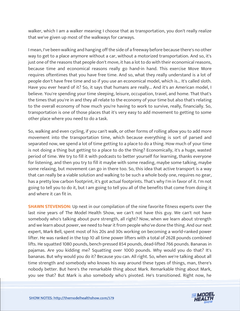walker, which I am a walker meaning I choose that as transportation, you don't really realize that we've given up most of the walkways for carways.

I mean, I've been walking and hanging off the side of a freeway before because there's no other way to get to a place anymore without a car, without a motorized transportation. And so, it's just one of the reasons that people don't move, it has a lot to do with their economical reasons, because time and economical reasons really go hand-in hand. This exercise Move More requires oftentimes that you have free time. And so, what they really understand is a lot of people don't have free time and so if you use an economical model, which is... It's called sloth. Have you ever heard of it? So, it says that humans are really... And it's an American model, I believe. You're spending your time sleeping, leisure, occupation, travel, and home. That that's the times that you're in and they all relate to the economy of your time but also that's relating to the overall economy of how much you're having to work to survive, really, financially. So, transportation is one of those places that it's very easy to add movement to getting to some other place where you need to do a task.

So, walking and even cycling, if you can't walk, or other forms of rolling allow you to add more movement into the transportation time, which because everything is sort of parsed and separated now, we spend a lot of time getting to a place to do a thing. How much of your time is not doing a thing but getting to a place to do the thing? Economically, it's a huge, wasted period of time. We try to fill it with podcasts to better yourself for learning, thanks everyone for listening, and then you try to fill it maybe with some reading, maybe some talking, maybe some relaxing, but movement can go in there too. So, this idea that active transport is a way that can really be a viable solution and walking to be such a whole body one, requires no gear, has a pretty low carbon footprint, it's got actual footprints. That's why I'm in favor of it. I'm not going to tell you to do it, but I am going to tell you all of the benefits that come from doing it and where it can fit in.

**SHAWN STEVENSON:** Up next in our compilation of the nine favorite fitness experts over the last nine years of The Model Health Show, we can't not have this guy. We can't not have somebody who's talking about pure strength, all right? Now, when we learn about strength and we learn about power, we need to hear it from people who've done the thing. And our next expert, Mark Bell, spent most of his 20s and 30s working on becoming a world-ranked power lifter. He was ranked in the top 10 all time power lifters with a total of 2628 pounds combined lifts. He squatted 1080 pounds, bench-pressed 854 pounds, dead-lifted 766 pounds. Bananas in pajamas. Are you kidding me? Squatting over 1000 pounds. Why would you do that? It's bananas. But why would you do it? Because you can. All right. So, when we're talking about all time strength and somebody who knows his way around these types of things, man, there's nobody better. But here's the remarkable thing about Mark. Remarkable thing about Mark, you see that? But Mark is also somebody who's pivoted. He's transitioned. Right now, he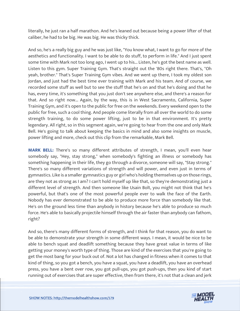literally, he just ran a half marathon. And he's leaned out because being a power lifter of that caliber, he had to be big. He was big. He was thicky thick.

And so, he's a really big guy and he was just like, "You know what, I want to go for more of the aesthetics and functionality. I want to be able to do stuff, to perform in life." And I just spent some time with Mark not too long ago, I went up to his... Listen, he's got the best name as well. Listen to this gym. Super Training Gym. That's straight out the '80s right there. That's, "Oh yeah, brother." That's Super Training Gym vibes. And we went up there, I took my oldest son Jordan, and just had the best time ever training with Mark and his team. And of course, we recorded some stuff as well but to see the stuff that he's on and that he's doing and that he has, every time, it's something that you just don't see anywhere else, and there's a reason for that. And so right now... Again, by the way, this is in West Sacramento, California, Super Training Gym, and it's open to the public for free on the weekends. Every weekend open to the public for free, such a cool thing. And people come literally from all over the world to do some strength training, to do some power lifting, just to be in that environment. It's pretty legendary. All right, so in this segment again, we're going to hear from the one and only Mark Bell. He's going to talk about keeping the basics in mind and also some insights on muscle, power lifting and more, check out this clip from the remarkable, Mark Bell.

**MARK BELL:** There's so many different attributes of strength, I mean, you'll even hear somebody say, "Hey, stay strong," when somebody's fighting an illness or somebody has something happening in their life, they go through a divorce, someone will say, "Stay strong." There's so many different variations of strength and will power, and even just in terms of gymnastics. Like is a smaller gymnastics guy or girl who's holding themselves up on those rings, are they not as strong as I am? I can't hold myself up like that, so they're demonstrating just a different level of strength. And then someone like Usain Bolt, you might not think that he's powerful, but that's one of the most powerful people ever to walk the face of the Earth. Nobody has ever demonstrated to be able to produce more force than somebody like that. He's on the ground less time than anybody in history because he's able to produce so much force. He's able to basically projectile himself through the air faster than anybody can fathom, right?

And so, there's many different forms of strength, and I think for that reason, you do want to be able to demonstrate your strength in some different ways. I mean, it would be nice to be able to bench squat and deadlift something because they have great value in terms of like getting your money's worth type of thing. Those are kind of the exercises that you're going to get the most bang for your buck out of. Not a lot has changed in fitness when it comes to that kind of thing, so you got a bench, you have a squat, you have a deadlift, you have an overhead press, you have a bent over row, you got pull-ups, you got push-ups, then you kind of start running out of exercises that are super effective, then from there, it's not that a clean and jerk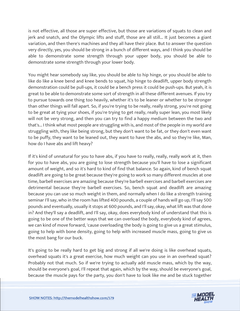is not effective, all those are super effective, but those are variations of squats to clean and jerk and snatch, and the Olympic lifts and stuff, those are all still... It just becomes a giant variation, and then there's machines and they all have their place. But to answer the question very directly, yes, you should be strong in a bunch of different ways, and I think you should be able to demonstrate some strength through your upper body, you should be able to demonstrate some strength through your lower body.

You might hear somebody say like, you should be able to hip hinge, or you should be able to like do like a knee bend and knee bends to squat, hip hinge to deadlift, upper body strength demonstration could be pull-ups, it could be a bench press it could be push-ups. But yeah, it is great to be able to demonstrate some sort of strength in all these different avenues. If you try to pursue towards one thing too heavily, whether it's to be leaner or whether to be stronger than other things will fall apart. So, if you're trying to be really, really strong, you're not going to be great at tying your shoes, if you're trying to get really, really super lean, you most likely will not be very strong, and then you can try to find a happy medium between the two and that's... I think what most people are struggling with is, and most of the people in my world are struggling with, they like being strong, but they don't want to be fat, or they don't even want to be puffy, they want to be leaned out, they want to have the abs, and so they're like, Man, how do I have abs and lift heavy?

If it's kind of unnatural for you to have abs, if you have to really, really, really work at it, then for you to have abs, you are going to lose strength because you'll have to lose a significant amount of weight, and so it's hard to kind of find that balance. So again, kind of bench squat deadlift are going to be great because they're going to work so many different muscles at one time, barbell exercises are amazing because they're barbell exercises and barbell exercises are detrimental because they're barbell exercises. So, bench squat and deadlift are amazing because you can use so much weight in them, and normally when I do like a strength training seminar I'll say, who in the room has lifted 400 pounds, a couple of hands will go up, I'll say 500 pounds and eventually, usually it stops at 600 pounds, and I'll say, okay, what lift was that done in? And they'll say a deadlift, and I'll say, okay, does everybody kind of understand that this is going to be one of the better ways that we can overload the body, everybody kind of agrees, we can kind of move forward, 'cause overloading the body is going to give us a great stimulus, going to help with bone density, going to help with increased muscle mass, going to give us the most bang for our buck.

It's going to be really hard to get big and strong if all we're doing is like overhead squats, overhead squats it's a great exercise, how much weight can you use in an overhead squat? Probably not that much. So if we're trying to actually add muscle mass, which by the way, should be everyone's goal, I'll repeat that again, which by the way, should be everyone's goal, because the muscle pays for the party, you don't have to look like me and be stuck together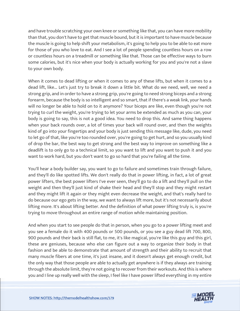and have trouble scratching your own knee or something like that, you can have more mobility than that, you don't have to get that muscle bound, but it is important to have muscle because the muscle is going to help shift your metabolism, it's going to help you to be able to eat more for those of you who love to eat. And I see a lot of people spending countless hours on a row or countless hours on a treadmill or something like that. Those can be effective ways to burn some calories, but it's nice when your body is actually working for you and you're not a slave to your own body.

When it comes to dead lifting or when it comes to any of these lifts, but when it comes to a dead lift, like... Let's just try to break it down a little bit. What do we need, well, we need a strong grip, and in order to have a strong grip, you're going to need strong biceps and a strong forearm, because the body is so intelligent and so smart, that if there's a weak link, your hands will no longer be able to hold on to it anymore? Your biceps are like, even though you're not trying to curl the weight, you're trying to let your arms be extended as much as you can, your body is going to say, this is not a good idea. You need to drop this. And same thing happens when your back rounds over, a lot of times your back will round over, and then the weights kind of go into your fingertips and your body is just sending this message like, dude, you need to let go of that, like you're too rounded over, you're going to get hurt, and so you usually kind of drop the bar, the best way to get strong and the best way to improve on something like a deadlift is to only go to a technical limit, so you want to lift and you want to push it and you want to work hard, but you don't want to go so hard that you're failing all the time.

You'll hear a body builder say, you want to go to failure and sometimes train through failure, and they'll do like spotted lifts. We don't really do that in power lifting, in fact, a lot of great power lifters, the best power lifters I've ever seen, they'll go to do a lift and they'll pull on the weight and then they'll just kind of shake their head and they'll stop and they might restart and they might lift it again or they might even decrease the weight, and that's really hard to do because our ego gets in the way, we want to always lift more, but it's not necessarily about lifting more. It's about lifting better. And the definition of what power lifting truly is, is you're trying to move throughout an entire range of motion while maintaining position.

And when you start to see people do that in person, when you go to a power lifting meet and you see a female do it with 400 pounds or 500 pounds, or you see a guy dead lift 700, 800, 900 pounds and their back is still flat, to me, it's like magical, you're like this guy and this girl, these are geniuses, because who else can figure out a way to organize their body in that fashion and be able to demonstrate that amount of strength and their ability to recruit that many muscle fibers at one time, it's just insane, and it doesn't always get enough credit, but the only way that those people are able to actually get anywhere is if they always are training through the absolute limit, they're not going to recover from their workouts. And this is where you and I line up really well with the sleep, I feel like I have power lifted everything in my entire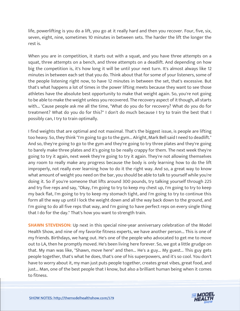life, powerlifting is you do a lift, you go at it really hard and then you recover. Four, five, six, seven, eight, nine, sometimes 10 minutes in between sets. The harder the lift the longer the rest is.

When you are in competition, it starts out with a squat, and you have three attempts on a squat, three attempts on a bench, and three attempts on a deadlift. And depending on how big the competition is, it's how long it will be until your next turn. It's almost always like 12 minutes in between each set that you do. Think about that for some of your listeners, some of the people listening right now, to have 12 minutes in between the set, that's excessive. But that's what happens a lot of times in the power lifting meets because they want to see those athletes have the absolute best opportunity to make that weight again. So, you're not going to be able to make the weight unless you recovered. The recovery aspect of it though, all starts with... 'Cause people ask me all the time, "What do you do for recovery? What do you do for treatment? What do you do for this?" I don't do much because I try to train the best that I possibly can, I try to train optimally.

I find weights that are optimal and not maximal. That's the biggest issue, is people are lifting too heavy. So, they think "I'm going to go to the gym... Alright, Mark Bell said I need to deadlift." And so, they're going to go to the gym and they're going to try three plates and they're going to barely make three plates and it's going to be really crappy for them. The next week they're going to try it again, next week they're going to try it again. They're not allowing themselves any room to really make any progress because the body is only learning how to do the lift improperly, not really ever learning how to do it the right way. And so, a great way to know what amount of weight you need on the bar, you should be able to talk to yourself while you're doing it. So if you're someone that lifts around 300 pounds, try talking yourself through 225 and try five reps and say, "Okay, I'm going to try to keep my chest up, I'm going to try to keep my back flat, I'm going to try to keep my stomach tight, and I'm going to try to continue this form all the way up until I lock the weight down and all the way back down to the ground, and I'm going to do all five reps that way, and I'm going to have perfect reps on every single thing that I do for the day." That's how you want to strength train.

**SHAWN STEVENSON:** Up next in this special nine-year anniversary celebration of the Model Health Show, and nine of my favorite fitness experts, we have another person... This is one of my friends. Birthdays, we hang out. He's one of the people who advocated to get me to move out to LA, then he promptly moved. He's been living here forever. So, we got a little grudge on that. My man was like, "Shawn, move here" and then... He's a guy... My guest... This guy gets people together, that's what he does, that's one of his superpowers, and it's so cool. You don't have to worry about it, my man just puts people together, creates great vibes, great food, and just... Man, one of the best people that I know, but also a brilliant human being when it comes to fitness.

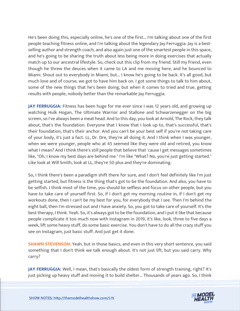He's been doing this, especially online, he's one of the first... I'm talking about one of the first people teaching fitness online, and I'm talking about the legendary Jay Ferruggia. Jay is a bestselling author and strength coach, and also again just one of the smartest people in this space, and he's going to be sharing the truth about less being more in doing exercises that actually match up to our ancestral lifestyle. So, check out this clip from my friend. Still my friend, even though he threw the deuces when it came to LA and me moving here, and he bounced to Miami. Shout out to everybody in Miami, but... I know he's going to be back. It's all good, but much love and of course, we got to have him back on. I got some things to talk to him about, some of the new things that he's been doing, but when it comes to tried and true, getting results with people, nobody better than the remarkable Jay Ferruggia.

**JAY FERRUGGIA:** Fitness has been huge for me ever since I was 12 years old, and growing up watching Hulk Hogan, The Ultimate Warrior and Stallone and Schwarzenegger on the big screen, so I've always been a meat head. And to this day, you look at Arnold, The Rock, they talk about, that's the foundation. Everyone that I know that I look up to, that's successful, that's their foundation, that's their anchor. And you can't be your best self if you're not taking care of your body, it's just a fact. LL, Dr. Dre, they're all doing it. And I think when I was younger, when we were younger, people who at 45 seemed like they were old and retired, you know what I mean? And I think there's still people that believe that 'cause I get messages sometimes like, "Oh, I know my best days are behind me." I'm like "What? No, you're just getting started." Like look at Will Smith, look at LL, they're 50 plus and they're dominating.

So, I think there's been a paradigm shift there for sure, and I don't feel definitely like I'm just getting started, but fitness is the thing that's got to be the foundation. And also, you have to be selfish. I think most of the time, you should be selfless and focus on other people, but you have to take care of yourself first. So, if I don't get my morning routine in, if I don't get my workouts done, then I can't be my best for you, for everybody that I see. Then I'm behind the eight ball, then I'm stressed out and I have anxiety. So, you got to take care of yourself. It's the best therapy, I think. Yeah. So, it's always got to be the foundation, and I put it like that because people complicate it too much now with Instagram in 2019, it's like, look, three to five days a week, lift some heavy stuff, do some basic exercise. You don't have to do all the crazy stuff you see on Instagram, just basic stuff. And just get it done.

**SHAWN STEVENSON:** Yeah, but in those basics, and even in this very short sentence, you said something that I don't think we talk enough about. It's not just lift, but you said carry. Why carry?

**JAY FERRUGGIA:** Well, I mean, that's basically the oldest form of strength training, right? It's just picking up heavy stuff and moving it to build shelter... Thousands of years ago. So, I think

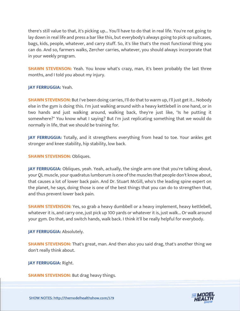there's still value to that, it's picking up... You'll have to do that in real life. You're not going to lay down in real life and press a bar like this, but everybody's always going to pick up suitcases, bags, kids, people, whatever, and carry stuff. So, it's like that's the most functional thing you can do. And so, farmers walks, Zercher carries, whatever, you should always incorporate that in your weekly program.

**SHAWN STEVENSON:** Yeah. You know what's crazy, man, it's been probably the last three months, and I told you about my injury.

**JAY FERRUGGIA:** Yeah.

**SHAWN STEVENSON:** But I've been doing carries, I'll do that to warm up, I'll just get it... Nobody else in the gym is doing this. I'm just walking around with a heavy kettlebell in one hand, or in two hands and just walking around, walking back, they're just like, "Is he putting it somewhere?" You know what I saying? But I'm just replicating something that we would do normally in life, that we should be training for.

**JAY FERRUGGIA:** Totally, and it strengthens everything from head to toe. Your ankles get stronger and knee stability, hip stability, low back.

**SHAWN STEVENSON: Obliques.** 

**JAY FERRUGGIA:** Obliques, yeah. Yeah, actually, the single arm one that you're talking about, your QL muscle, your quadratus lumborum is one of the muscles that people don't know about, that causes a lot of lower back pain. And Dr. Stuart McGill, who's the leading spine expert on the planet, he says, doing those is one of the best things that you can do to strengthen that, and thus prevent lower back pain.

**SHAWN STEVENSON:** Yes, so grab a heavy dumbbell or a heavy implement, heavy kettlebell, whatever it is, and carry one, just pick up 100 yards or whatever it is, just walk... Or walk around your gym. Do that, and switch hands, walk back. I think it'll be really helpful for everybody.

**JAY FERRUGGIA: Absolutely.** 

**SHAWN STEVENSON:** That's great, man. And then also you said drag, that's another thing we don't really think about.

**JAY FERRUGGIA:** Right.

**SHAWN STEVENSON: But drag heavy things.** 

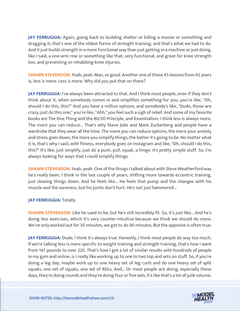**JAY FERRUGGIA:** Again, going back to building shelter or killing a moose or something and dragging it, that's one of the oldest forms of strength training, and that's what we had to do. And it just builds strength in a more functional way than just getting in a machine or just doing, like I said, a one-arm row or something like that, very functional, and great for knee strength too, and preventing or rehabbing knee injuries.

**SHAWN STEVENSON:** Yeah, yeah. Man, so good. Another one of these 45 lessons from 45 years is, less is more. Less is more. Why did you put that on there?

**JAY FERRUGGIA:** I've always been attracted to that. And I think most people, even if they don't think about it, when somebody comes in and simplifies something for you, you're like, "Oh, should I do this, this?" And you have a million options, and somebody's like, "Dude, those are crazy, just do this one," you're like, "Ahh," you feel such a sigh of relief. And some of my favorite books are The One Thing and the 80/20 Principle, and Essentialism. I think less is always more. The more you can reduce... That's why Steve Jobs and Mark Zuckerberg and people have a wardrobe that they wear all the time. The more you can reduce options, the more your anxiety and stress goes down, the more you simplify things, the better it's going to be. No matter what it is, that's why I said, with fitness, everybody goes on Instagram and like, "Oh, should I do this, this?" It's like, just simplify, just do a push, pull, squat, a hinge. It's pretty simple stuff. So, I'm always looking for ways that I could simplify things.

**SHAWN STEVENSON:** Yeah, yeah. One of the things I talked about with Steve Weatherford was he's really been, I think in the last couple of years, shifting more towards eccentric training, just slowing things down. And he feels like... He feels that pump and the changes with his muscle and the soreness, but his joints don't hurt. He's not just hammered...

#### **JAY FERRUGGIA:** Totally.

**SHAWN STEVENSON:** Like he used to be, but he's still incredibly fit. So, it's just like... And he's doing less exercises, which it's very counter-intuitive because we think we should do more. We've only worked out for 30 minutes, we got to do 90 minutes. But the opposite is often true.

**JAY FERRUGGIA:** Dude, I think it's always true. Honestly, I think most people do way too much. If we're talking less is more specific to weight training and strength training, that's how I went from 147 pounds to over 220. That's how I got a lot of similar results with hundreds of people in my gym and online, is I really like working up to one to two top and sets on stuff. So, if you're doing a leg day, maybe work up to one heavy set of leg curls and do one heavy set of split squats, one set of squats, one set of RDLs. And... Or most people are doing, especially these days, they're doing rounds and they're doing four or five sets, it's like that's a lot of junk volume.

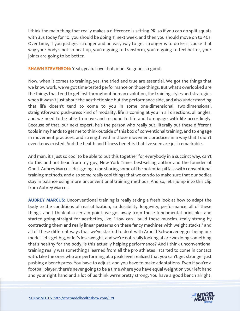I think the main thing that really makes a difference is setting PR, so if you can do split squats with 35s today for 10, you should be doing 11 next week, and then you should move on to 40s. Over time, if you just get stronger and an easy way to get stronger is to do less, 'cause that way your body's not so beat up, you're going to transform, you're going to feel better, your joints are going to be better.

**SHAWN STEVENSON:** Yeah, yeah. Love that, man. So good, so good.

Now, when it comes to training, yes, the tried and true are essential. We got the things that we know work, we've got time-tested performance on those things. But what's overlooked are the things that tend to get lost throughout human evolution, the training styles and strategies when it wasn't just about the aesthetic side but the performance side, and also understanding that life doesn't tend to come to you in some one-dimensional, two-dimensional, straightforward push-press kind of modality, life is coming at you in all directions, all angles, and we need to be able to move and respond to life and to engage with life accordingly. Because of that, our next expert, he's the person who really put, literally put these different tools in my hands to get me to think outside of this box of conventional training, and to engage in movement practices, and strength within those movement practices in a way that I didn't even know existed. And the health and fitness benefits that I've seen are just remarkable.

And man, it's just so cool to be able to put this together for everybody in a succinct way, can't do this and not hear from my guy, New York Times best-selling author and the founder of Onnit, Aubrey Marcus. He's going to be sharing some of the potential pitfalls with conventional training methods, and also some really cool things that we can do to make sure that our bodies stay in balance using more unconventional training methods. And so, let's jump into this clip from Aubrey Marcus.

**AUBREY MARCUS:** Unconventional training is really taking a fresh look at how to adapt the body to the conditions of real utilization, so durability, longevity, performance, all of these things, and I think at a certain point, we got away from those fundamental principles and started going straight for aesthetics, like, "How can I build these muscles, really strong by contracting them and really linear patterns on these fancy machines with weight stacks," and all of these different ways that we've started to do it with Arnold Schwarzenegger being our model, let's get big, or let's lose weight, and we're not really looking at are we doing something that's healthy for the body, is this actually helping performance? And I think unconventional training really was something I learned from all the pro athletes I started to come in contact with. Like the ones who are performing at a peak level realized that you can't get stronger just pushing a bench press. You have to adjust, and you have to make adaptations. Even if you're a football player, there's never going to be a time where you have equal weight on your left hand and your right hand and a lot of us think we're pretty strong. You have a good bench alright,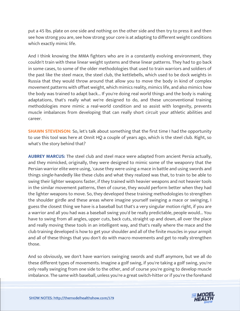put a 45 lbs. plate on one side and nothing on the other side and then try to press it and then see how strong you are, see how strong your core is at adapting to different weight conditions which exactly mimic life.

And I think knowing the MMA fighters who are in a constantly evolving environment, they couldn't train with these linear weight systems and these linear patterns. They had to go back in some cases, to some of the older methodologies that used to train warriors and soldiers of the past like the steel mace, the steel club, the kettlebells, which used to be dock weights in Russia that they would throw around that allow you to move the body in kind of complex movement patterns with offset weight, which mimics reality, mimics life, and also mimics how the body was trained to adapt back... If you're doing real world things and the body is making adaptations, that's really what we're designed to do, and these unconventional training methodologies more mimic a real-world condition and so assist with longevity, prevents muscle imbalances from developing that can really short circuit your athletic abilities and career.

**SHAWN STEVENSON:** So, let's talk about something that the first time I had the opportunity to use this tool was here at Onnit HQ a couple of years ago, which is the steel club. Right, so what's the story behind that?

**AUBREY MARCUS:** The steel club and steel mace were adapted from ancient Persia actually, and they mimicked, originally, they were designed to mimic some of the weaponry that the Persian warrior elite were using, 'cause they were using a mace in battle and using swords and things single-handedly like these clubs and what they realized was that, to train to be able to swing their lighter weapons faster, if they trained with heavier weapons and not heavier tools in the similar movement patterns, then of course, they would perform better when they had the lighter weapons to move. So, they developed these training methodologies to strengthen the shoulder girdle and these areas where imagine yourself swinging a mace or swinging, I guess the closest thing we have is a baseball but that's a very singular motion right, if you are a warrior and all you had was a baseball swing you'd be really predictable, people would... You have to swing from all angles, upper cuts, back cuts, straight up and down, all over the place and really moving these tools in an intelligent way, and that's really where the mace and the club training developed is how to get your shoulder and all of the finite muscles in your armpit and all of these things that you don't do with macro movements and get to really strengthen those.

And so obviously, we don't have warriors swinging swords and stuff anymore, but we all do these different types of movements. Imagine a golf swing, if you're taking a golf swing, you're only really swinging from one side to the other, and of course you're going to develop muscle imbalance. The same with baseball, unless you're a great switch-hitter or if you're the forehand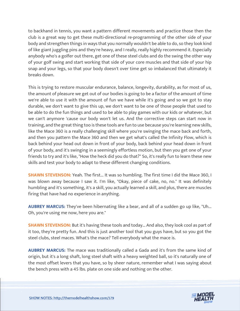to backhand in tennis, you want a pattern different movements and practice those then the club is a great way to get these multi-directional re-programming of the other side of your body and strengthen things in ways that you normally wouldn't be able to do, so they look kind of like giant juggling pins and they're heavy, and I really, really highly recommend it. Especially anybody who's a golfer out there, get one of these steel clubs and do the swing the other way of your golf swing and start working that side of your core muscles and that side of your hip snap and your legs, so that your body doesn't over time get so imbalanced that ultimately it breaks down.

This is trying to restore muscular endurance, balance, longevity, durability, as for most of us, the amount of pleasure we get out of our bodies is going to be a factor of the amount of time we're able to use it with the amount of fun we have while it's going and so we got to stay durable, we don't want to give this up, we don't want to be one of those people that used to be able to do the fun things and used to be able to play games with our kids or whatever, but we can't anymore 'cause our body won't let us. And the corrective steps can start now in training, and the great thing too is these tools are fun to use because you're learning new skills, like the Mace 360 is a really challenging skill where you're swinging the mace back and forth, and then you pattern the Mace 360 and then we get what's called the Infinity Flow, which is back behind your head out down in front of your body, back behind your head down in front of your body, and it's swinging in a seemingly effortless motion, but then you get one of your friends to try and it's like, "How the heck did you do that?" So, it's really fun to learn these new skills and test your body to adapt to these different changing conditions.

**SHAWN STEVENSON:** Yeah. The first... It was so humbling. The first time I did the Mace 360, I was blown away because I saw it. I'm like, "Okay, piece of cake, no, no." It was definitely humbling and it's something, it's a skill, you actually learned a skill, and plus, there are muscles firing that have had no experience in anything.

**AUBREY MARCUS:** They've been hibernating like a bear, and all of a sudden go up like, "Uh... Oh, you're using me now, here you are."

**SHAWN STEVENSON:** But it's having these tools and today... And also, they look cool as part of it too, they're pretty fun. And this is just another tool that you guys have, but so you got the steel clubs, steel maces. What's the mace? Tell everybody what the mace is.

**AUBREY MARCUS:** The mace was traditionally called a Gada and it's from the same kind of origin, but it's a long shaft, long steel shaft with a heavy weighted ball, so it's naturally one of the most offset levers that you have, so by sheer nature, remember what I was saying about the bench press with a 45 lbs. plate on one side and nothing on the other.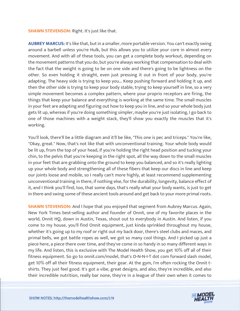#### **SHAWN STEVENSON: Right. It's just like that.**

**AUBREY MARCUS:** It's like that, but in a smaller, more portable version. You can't exactly swing around a barbell unless you're Hulk, but this allows you to utilize your core in almost every movement. And with all of these tools, you can get a complete body workout, depending on the movement patterns that you do, but you're always working that compensation to deal with the fact that the weight is going to be on one side and there's going to be lightness on the other. So even holding it straight, even just pressing it out in front of your body, you're adapting. The heavy side is trying to keep you... Keep pushing forward and holding it up, and then the other side is trying to keep your body stable, trying to keep yourself in line, so a very simple movement becomes a complex pattern, where your proprio receptors are firing, the things that keep your balance and everything is working at the same time. The small muscles in your feet are adapting and figuring out how to keep you in line, and so your whole body just gets lit up, whereas if you're doing something simpler, maybe you're just isolating, I go back to one of those machines with a weight stack, they'll show you exactly the muscles that it's working.

You'll look, there'll be a little diagram and it'll be like, "This one is pec and triceps." You're like, "Okay, great." Now, that's not like that with unconventional training. Your whole body would be lit up, from the top of your head, if you're holding the right head position and tucking your chin, to the pelvis that you're keeping in the right spot, all the way down to the small muscles in your feet that are grabbing onto the ground to keep you balanced, and so it's really lighting up your whole body and strengthening all of these fibers that keep our discs in line and keep our joints loose and mobile, so I really can't more highly, at least recommend supplementing unconventional training in there, if nothing else, for the durability, longevity, balance effect of it, and I think you'll find, too, that some days, that's really what your body wants, is just to get in there and swing some of these ancient tools around and get back to your more primal roots.

**SHAWN STEVENSON:** And I hope that you enjoyed that segment from Aubrey Marcus. Again, New York Times best-selling author and founder of Onnit, one of my favorite places in the world, Onnit HQ, down in Austin, Texas, shout out to everybody in Austin. And listen, if you come to my house, you'll find Onnit equipment, just kinda sprinkled throughout my house, whether it's going up to my roof or right out my back door, there's steel clubs and maces, and primal bells, we got battle ropes as well, we got so many cool things. And I picked up just a piece here, a piece there over time, and they've come in so handy in so many different ways in my life. And listen, this is exclusive with The Model Health Show, you get 10% off all of their fitness equipment. So go to onnit.com/model, that's O-N-N-I-T dot com forward slash model, get 10% off all their fitness equipment, their gear. At the gym, I'm often rocking the Onnit tshirts. They just feel good. It's got a vibe, great designs, and also, they're incredible, and also their incredible nutrition, really bar none, they're in a league of their own when it comes to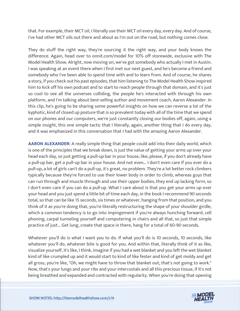that. For example, their MCT oil, I literally use their MCT oil every day, every day. And of course, I've had other MCT oils out there and about as I'm out on the road, but nothing comes close.

They do stuff the right way, they're sourcing it the right way, and your body knows the difference. Again, head over to onnit.com/model for 10% off storewide, exclusive with The Model Health Show. Alright, now moving on, we've got somebody who actually I met in Austin. I was speaking at an event there when I first met our next guest, and he's become a friend and somebody who I've been able to spend time with and to learn from. And of course, he shares a story, if you check out his past episodes, that him listening to The Model Health Show inspired him to kick off his own podcast and to start to reach people through that domain, and it's just so cool to see all the universes colliding, the people he's interacted with through his own platform, and I'm talking about best-selling author and movement coach, Aaron Alexander. In this clip, he's going to be sharing some powerful insights on how we can reverse a lot of the kyphotic, kind of closed up posture that is so prevalent today with all of the time that we spend on our phones and our computers, we're just constantly closing our bodies off, again, using a simple insight, this one simple tactic that I literally, again, another thing that I do every day, and it was emphasized in this conversation that I had with the amazing Aaron Alexander.

**AARON ALEXANDER:** A really simple thing that people could add into their daily world, which is one of the principles that we break down, is just the value of getting your arms up over your head each day, so just getting a pull-up bar in your house, like, please, if you don't already have a pull-up bar, get a pull-up bar in your house. And not even... I don't even care if you ever do a pull-up, a lot of girls can't do a pull-up, it's great, no problem. They're a lot better rock climbers typically because they're forced to use their lower body in order to climb, whereas guys that can run through and muscle through and use their upper bodies, they end up lacking form, so I don't even care if you can do a pull-up. What I care about is that you get your arms up over your head and you just spend a little bit of time each day, in the book I recommend 90 seconds total, so that can be like 15 seconds, six times or whatever, hanging from that position, and you think of it as you're doing that, you're literally restructuring the shape of your shoulder girdle, which a common tendency is to go into impingement if you're always hunching forward, cell phoning, carpal tunneling yourself and computering in chairs and all that, so just that simple practice of just... Get lung, create that space in there, hang for a total of 60-90 seconds.

Whatever you'll do is what I want you to do. If what you'll do is 10 seconds, 10 seconds, like whatever you'll do, whatever bite is good for you. And within that, literally think of it as like, visualize yourself, it's like, I think, imagine if you had a wet blanket and you left the wet blanket kind of like crumpled up and it would start to kind of like fester and kind of get moldy and get all gross, you're like, "Oh, we might have to throw that blanket out, that's not going to work." Now, that's your lungs and your ribs and your intercostals and all this precious tissue, if it's not being breathed and expanded and contracted with regularity. When you're doing that opening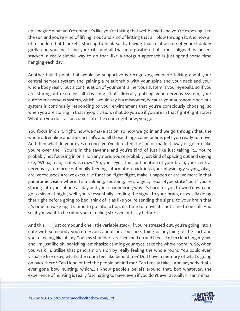up, imagine what you're doing, it's like you're taking that wet blanket and you're exposing it to the sun and you're kind of lifting it out and kind of letting that air blow through it. And now all of a sudden that blanket's starting to heal. So, by having that relationship of your shoulder girdle and your neck and your ribs and all that in a position that's most aligned, balanced, stacked, a really simple way to do that, like a shotgun approach is just spend some time hanging each day.

Another bullet point that would be supportive is recognizing we were talking about your central nervous system and gaining a relationship with your spine and your neck and your whole body really, but a continuation of your central nervous system is your eyeballs, so if you are staring into screens all day long, that's literally putting your nervous system, your autonomic nervous system, which I would say is a misnomer, because your autonomic nervous system is continually responding to your environment that you're consciously choosing, so when you are staring in that myopic vision, what do you do if you are in that fight-flight state? What do you do if a lion comes into the room right now, you go...?

You focus in on it, right, now we make action, so now we go in and we go through that, the whole adrenaline and the cortisol's and all those things come online, gets you ready to move. And then what do your eyes do once you've defeated the lion or made it away or go into like you're over the... You're in the savanna and you're kind of just like just taking it... You're probably not focusing in on a lion anymore, you're probably just kind of spacing out and saying like, "Whoa, man, that was crazy." So, your eyes, the continuation of your brain, your central nervous system are continually feeding information back into your physiology saying, okay, are we focused? Are we executive function, fight-flight, make it happen or are we more in that panoramic vision where it's a calming, soothing, rest, digest, repair-type state? So if you're staring into your phone all day and you're wondering why it's hard for you to wind down and go to sleep at night, well, you're essentially sending the signal to your brain, especially doing that right before going to bed, think of it as like you're sending the signal to your brain that it's time to wake up, it's time to go into action, it's time to move, it's not time to be still. And so, if you want to be calm, you're feeling stressed out, say before...

And this... I'll just compound one little variable stack, if you're stressed out, you're going into a date with somebody you're nervous about or a business thing or anything of the sort and you're feeling like oh my God, my shoulders are clenched up and I feel like I'm clenching my jaw and I'm just like oh, panicking, emphasize calming your eyes, take the whole room in. So, when you walk in, utilize that panoramic vision by really feeling the whole room. You could even visualize like okay, what's the room feel like behind me? Do I have a memory of what's going on back there? Can I kind of feel the people behind me? Can I really take... And anybody that's ever gone bow hunting, which... I know people's beliefs around that, but whatever, the experience of hunting is really fascinating to have, even if you don't ever actually kill an animal,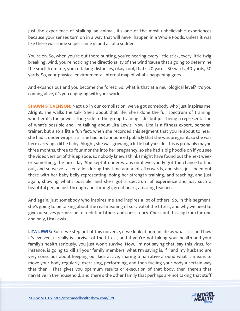just the experience of stalking an animal, it's one of the most unbelievable experiences because your senses turn on in a way that will never happen in a Whole Foods, unless it was like there was some sniper came in and all of a sudden...

You're on. So, when you're out there hunting, you're hearing every little stick, every little twig breaking, wind, you're noticing the directionality of the wind 'cause that's going to determine the smell from me, you're taking distances, okay cool, that's 20 yards, 30 yards, 40 yards, 50 yards. So, your physical environmental internal map of what's happening goes...

And expands out and you become the forest. So, what is that at a neurological level? It's you coming alive, it's you engaging with your world.

**SHAWN STEVENSON:** Next up in our compilation, we've got somebody who just inspires me. Alright, she walks the talk. She's about that life. She's done the full spectrum of training, whether it's the power lifting side to the group training side, but just being a representation of what's possible and I'm talking about Lita Lewis. Now, Lita is a fitness expert, personal trainer, but also a little fun fact, when she recorded this segment that you're about to hear, she had it under wraps, still she had not announced publicly that she was pregnant, so she was here carrying a little baby. Alright, she was growing a little baby inside, this is probably maybe three months, three to four months into her pregnancy, so she had a big hoodie on if you see the video version of this episode, so nobody knew. I think I might have found out the next week or something, the next day. She kept it under wraps until everybody got the chance to find out, and so we've talked a lot during this time and a lot afterwards, and she's just been out there with her baby belly representing, doing her strength training, and teaching, and just again, showing what's possible, and she's got a spectrum of experience and just such a beautiful person just through and through, great heart, amazing teacher.

And again, just somebody who inspires me and inspires a lot of others. So, in this segment, she's going to be talking about the real meaning of survival of the fittest, and why we need to give ourselves permission to re-define fitness and consistency. Check out this clip from the one and only, Lita Lewis.

**LITA LEWIS:** But if we step out of this universe, if we look at human life as what it is and how it's evolved, it really is survival of the fittest, and if you're not taking your health and your family's health seriously, you just won't survive. Now, I'm not saying that, say this virus, for instance, is going to kill all your family members, what I'm saying is, if I and my husband are very conscious about keeping our kids active, sharing a narrative around what it means to move your body regularly, exercising, performing, and then fueling your body a certain way that then... That gives you optimum results or execution of that body, then there's that narrative in the household, and there's the other family that perhaps are not taking that stuff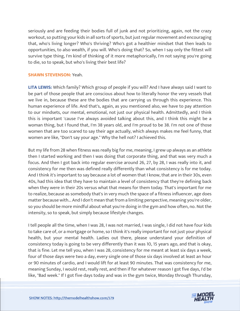seriously and are feeding their bodies full of junk and not prioritizing, again, not the crazy workout, so putting your kids in all sorts of sports, but just regular movement and encouraging that, who's living longer? Who's thriving? Who's got a healthier mindset that then leads to opportunities, to also wealth, if you will. Who's doing that? So, when I say only the fittest will survive type thing, I'm kind of thinking of it more metaphorically, I'm not saying you're going to die, so to speak, but who's living their best life?

#### **SHAWN STEVENSON:** Yeah.

**LITA LEWIS:** Which family? Which group of people if you will? And I have always said I want to be part of those people that are conscious about how to literally honor the very vessels that we live in, because these are the bodies that are carrying us through this experience. This human experience of life. And that's, again, as you mentioned also, we have to pay attention to our mindsets, our mental, emotional, not just our physical health. Admittedly, and I think this is important 'cause I've always avoided talking about this, and I think this might be a woman thing, but I found that, I'm 38 years old, and I'm proud to be 38. I'm not one of those women that are too scared to say their age actually, which always makes me feel funny, that women are like, "Don't say your age." Why the hell not? I achieved this.

But my life from 28 when fitness was really big for me, meaning, I grew up always as an athlete then I started working and then I was doing that corporate thing, and that was very much a focus. And then I got back into regular exercise around 26, 27, by 28, I was really into it, and consistency for me then was defined really differently than what consistency is for me today. And I think it's important to say because a lot of women that I know, that are in their 30s, even 40s, had this idea that they have to maintain a level of consistency that they're defining back when they were in their 20s versus what that means for them today. That's important for me to realize, because as somebody that's in very much the space of a fitness influencer, age does matter because with... And I don't mean that from a limiting perspective, meaning you're older, so you should be more mindful about what you're doing in the gym and how often, no. Not the intensity, so to speak, but simply because lifestyle changes.

I tell people all the time, when I was 28, I was not married, I was single, I did not have four kids to take care of, or a mortgage or home, so I think it's really important for not just your physical health, but your mental health. Ladies out there, please understand your definition of consistency today is going to be very differently than it was 10, 15 years ago, and that is okay, that is fine. Let me tell you, when I was 28, consistency for me meant at least six days a week, four of those days were two a day, every single one of those six days involved at least an hour or 90 minutes of cardio, and I would lift for at least 90 minutes. That was consistency for me, meaning Sunday, I would rest, really rest, and then if for whatever reason I got five days, I'd be like, "Bad week." If I got five days today and was in the gym twice, Monday through Thursday,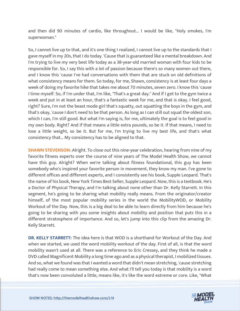and then did 90 minutes of cardio, like throughout... I would be like, "Holy smokes, I'm superwoman."

So, I cannot live up to that, and it's one thing I realized, I cannot live up to the standards that I gave myself in my 20s, that I do today. 'Cause that is guaranteed like a mental breakdown. And I'm trying to live my very best life today as a 38-year-old married woman with four kids to be responsible for. So, I say this with a lot of passion because there's so many women out there, and I know this 'cause I've had conversations with them that are stuck on old definitions of what consistency means for them. So today, for me, Shawn, consistency is at least four days a week of doing my favorite hike that takes me about 70 minutes, seven zero. I know this 'cause I time myself. So, if I'm under that, I'm like, "That's a great day." And if I get to the gym twice a week and put in at least an hour, that's a fantastic week for me, and that is okay. I feel good, right? Sure, I'm not the beast mode girl that's squatty, out squatting the boys in the gym, and that's okay, 'cause I don't need to be that person. As long as I can still out squat the oldest son, which I can, I'm still good. But what I'm saying is, for me, ultimately the goal is to feel good in my own body. Right? And if that means a little extra pounds, so be it. If that means, I need to lose a little weight, so be it. But for me, I'm trying to live my best life, and that's what consistency that... My consistency has to be aligned to that.

**SHAWN STEVENSON:** Alright. To close out this nine-year celebration, hearing from nine of my favorite fitness experts over the course of nine years of The Model Health Show, we cannot have this guy. Alright? When we're talking about fitness foundational, this guy has been somebody who's inspired your favorite person in movement, they know my man. I've gone to different offices and different experts, and I consistently see his book, Supple Leopard. That's the name of his book, New York Times Best Seller, Supple Leopard. Now, this is a textbook. He's a Doctor of Physical Therapy, and I'm talking about none other than Dr. Kelly Starrett. In this segment, he's going to be sharing what mobility really means. From the originator/creator himself, of the most popular mobility series in the world the MobilityWOD, or Mobility Workout of the Day. Now, this is a big deal to be able to learn directly from him because he's going to be sharing with you some insights about mobility and position that puts this in a different stratosphere of importance. And so, let's jump into this clip from the amazing Dr. Kelly Starrett.

**DR. KELLY STARRETT:** The idea here is that WOD is a shorthand for Workout of the Day. And when we started, we used the word mobility workout of the day. First of all, is that the word mobility wasn't used at all. There was a reference to Eric Cressey, and they think he made a DVD called Magnificent Mobility a long time ago and as a physical therapist, I mobilized tissues. And so, what we found was that I wanted a word that didn't mean stretching, 'cause stretching had really come to mean something else. And what I'll tell you today is that mobility is a word that's now been convoluted a little, means like, it's like the word extreme or core. Like, "What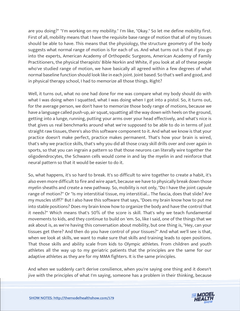are you doing?" "I'm working on my mobility." I'm like, "Okay." So let me define mobility first. First of all, mobility means that I have the requisite base range of motion that all of my tissues should be able to have. This means that the physiology, the structure geometry of the body suggests what normal range of motion is for each of us. And what turns out is that if you go into the experts, American Academy of Orthopedic Surgeons, American Academy of Family Practitioners, the physical therapists' Bible Norkin and White, if you look at all of these people who've studied range of motion, we have basically all agreed within a few degrees of what normal baseline function should look like in each joint. Joint based. So that's well and good, and in physical therapy school, I had to memorize all those things. Right?

Well, it turns out, what no one had done for me was compare what my body should do with what I was doing when I squatted, what I was doing when I got into a pistol. So, it turns out, for the average person, we don't have to memorize those body range of motions, because we have a language called push-up, air squat, squatting all the way down with heels on the ground, getting into a lunge, running, putting your arms over your head effectively, and what's nice is that gives us real benchmarks around what we're supposed to be able to do in terms of just straight raw tissues, there's also this software component to it. And what we know is that your practice doesn't make perfect, practice makes permanent. That's how your brain is wired, that's why we practice skills, that's why you did all those crazy skill drills over and over again in sports, so that you can ingrain a pattern so that those neurons can literally wire together the oligodendrocytes, the Schwann cells would come in and lay the myelin in and reinforce that neural pattern so that it would be easier to do it.

So, what happens, it's so hard to break. It's so difficult to wire together to create a habit, it's also even more difficult to fire and wire apart, because we have to physically break down those myelin sheaths and create a new pathway. So, mobility is not only, "Do I have the joint capsule range of motion?" Or "Is my interstitial tissue, my interstitial... The fascia, does that slide? Are my muscles stiff?" But I also have this software that says, "Does my brain know how to put me into stable positions? Does my brain know how to organize the body and have the control that it needs?" Which means that's 50% of the score is skill. That's why we teach fundamental movements to kids, and they continue to build on 'em. So, like I said, one of the things that we ask about is, as we're having this conversation about mobility, but one thing is, "Hey, can your tissues get there? And then do you have control of your tissues?" And what we'll see is that, when we look at skills, we want to make sure that skills and training leads to open positions. That those skills and ability scale from kids to Olympic athletes. From children and youth athletes all the way up to my geriatric patients that the principles are the same for our adaptive athletes as they are for my MMA fighters. It is the same principles.

And when we suddenly can't derive consilience, when you're saying one thing and it doesn't jive with the principles of what I'm saying, someone has a problem in their thinking, because

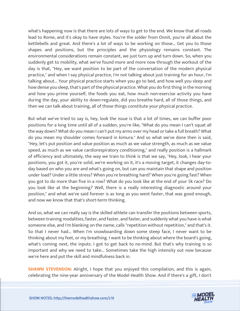what's happening now is that there are lots of ways to get to the end. We know that all roads lead to Rome, and it's okay to have styles. You're the solder from Onnit, you're all about the kettlebells and great. And there's a lot of ways to be working on those... Get you to those shapes and positions, but the principles and the physiology remains constant. The environmental considerations remain constant, we just turn up and turn down. So, when you suddenly get to mobility, what we've found more and more now through the workout of the day is that, "Hey, we want position to be part of the conversation of the modern physical practice," and when I say physical practice, I'm not talking about just training for an hour, I'm talking about... Your physical practice starts when you go to bed, and how well you sleep and how dense you sleep, that's part of the physical practice. What you do first thing in the morning and how you prime yourself, the foods you eat, how much non-exercise activity you have during the day, your ability to down-regulate, did you breathe hard, all of those things, and then we can talk about training, all of those things constitute your physical practice.

But what we've tried to say is, hey, look the issue is that a lot of times, we can buffer poor positions for a long time until all of a sudden, you're like, "What do you mean I can't squat all the way down? What do you mean I can't put my arms over my head or take a full breath? What do you mean my shoulder comes forward in kimura." And so what we've done then is said, "Hey, let's put position and value position as much as we value strength, as much as we value speed, as much as we value cardiorespiratory conditioning," and really position is a hallmark of efficiency and ultimately, the way we train to think is that we say, "Hey, look, I hear your positions, you got it, you're solid, we're working on it, it's a moving target, it changes day-today based on who you are and what's going on, but can you maintain that shape and position under load? Under a little stress? When you're breathing hard? When you're going fast? When you got to do more than five in a row? What do you look like at the end of your 5k race? Do you look like at the beginning? Well, there is a really interesting diagnostic around your position," and what we've said forever is as long as you went faster, that was good enough, and now we know that that's short-term thinking.

And so, what we can really say is the skilled athlete can transfer the positions between sports, between training modalities, faster, and faster, and faster, and suddenly what you have is what someone else, and I'm blanking on the name, calls "repetition without repetition," and that's it. So that I never had... When I'm snowboarding down some steep face, I never want to be thinking about my feet, or my breathing. I want to be thinking about where the board's going, what's coming next, the inputs. I got to get back to no-mind. But that's why training is so important and why we need to take... Sometimes take the high intensity out now because we're here and put the skill and mindfulness back in.

**SHAWN STEVENSON:** Alright, I hope that you enjoyed this compilation, and this is again, celebrating the nine-year anniversary of the Model Health Show. And if there's a gift, I don't